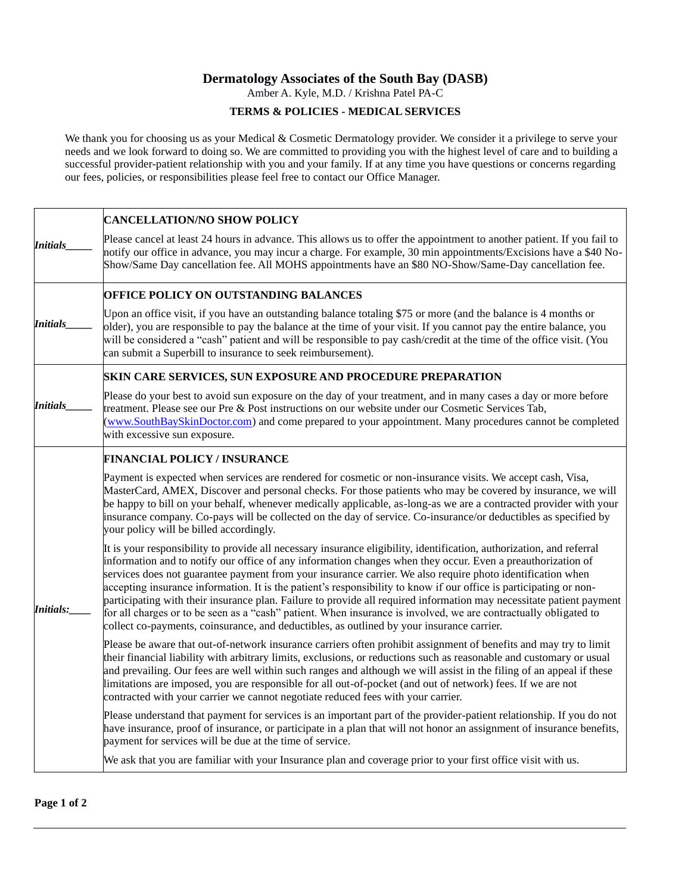## **Dermatology Associates of the South Bay (DASB)**

Amber A. Kyle, M.D. / Krishna Patel PA-C

## **TERMS & POLICIES - MEDICAL SERVICES**

We thank you for choosing us as your Medical & Cosmetic Dermatology provider. We consider it a privilege to serve your needs and we look forward to doing so. We are committed to providing you with the highest level of care and to building a successful provider-patient relationship with you and your family. If at any time you have questions or concerns regarding our fees, policies, or responsibilities please feel free to contact our Office Manager.

|                 | <b>CANCELLATION/NO SHOW POLICY</b>                                                                                                                                                                                                                                                                                                                                                                                                                                                                                                                                                                                                                                                                                                                                                                                |
|-----------------|-------------------------------------------------------------------------------------------------------------------------------------------------------------------------------------------------------------------------------------------------------------------------------------------------------------------------------------------------------------------------------------------------------------------------------------------------------------------------------------------------------------------------------------------------------------------------------------------------------------------------------------------------------------------------------------------------------------------------------------------------------------------------------------------------------------------|
| <b>Initials</b> | Please cancel at least 24 hours in advance. This allows us to offer the appointment to another patient. If you fail to<br>notify our office in advance, you may incur a charge. For example, 30 min appointments/Excisions have a \$40 No-<br>Show/Same Day cancellation fee. All MOHS appointments have an \$80 NO-Show/Same-Day cancellation fee.                                                                                                                                                                                                                                                                                                                                                                                                                                                               |
|                 | OFFICE POLICY ON OUTSTANDING BALANCES                                                                                                                                                                                                                                                                                                                                                                                                                                                                                                                                                                                                                                                                                                                                                                             |
| <b>Initials</b> | Upon an office visit, if you have an outstanding balance totaling \$75 or more (and the balance is 4 months or<br>older), you are responsible to pay the balance at the time of your visit. If you cannot pay the entire balance, you<br>will be considered a "cash" patient and will be responsible to pay cash/credit at the time of the office visit. (You<br>can submit a Superbill to insurance to seek reimbursement).                                                                                                                                                                                                                                                                                                                                                                                      |
| Initials        | <b>SKIN CARE SERVICES, SUN EXPOSURE AND PROCEDURE PREPARATION</b>                                                                                                                                                                                                                                                                                                                                                                                                                                                                                                                                                                                                                                                                                                                                                 |
|                 | Please do your best to avoid sun exposure on the day of your treatment, and in many cases a day or more before<br>treatment. Please see our Pre & Post instructions on our website under our Cosmetic Services Tab,<br>(www.SouthBaySkinDoctor.com) and come prepared to your appointment. Many procedures cannot be completed<br>with excessive sun exposure.                                                                                                                                                                                                                                                                                                                                                                                                                                                    |
|                 | <b>FINANCIAL POLICY / INSURANCE</b>                                                                                                                                                                                                                                                                                                                                                                                                                                                                                                                                                                                                                                                                                                                                                                               |
| Initials:       | Payment is expected when services are rendered for cosmetic or non-insurance visits. We accept cash, Visa,<br>MasterCard, AMEX, Discover and personal checks. For those patients who may be covered by insurance, we will<br>be happy to bill on your behalf, whenever medically applicable, as-long-as we are a contracted provider with your<br>insurance company. Co-pays will be collected on the day of service. Co-insurance/or deductibles as specified by<br>your policy will be billed accordingly.                                                                                                                                                                                                                                                                                                      |
|                 | It is your responsibility to provide all necessary insurance eligibility, identification, authorization, and referral<br>information and to notify our office of any information changes when they occur. Even a preauthorization of<br>services does not guarantee payment from your insurance carrier. We also require photo identification when<br>accepting insurance information. It is the patient's responsibility to know if our office is participating or non-<br>participating with their insurance plan. Failure to provide all required information may necessitate patient payment<br>for all charges or to be seen as a "cash" patient. When insurance is involved, we are contractually obligated to<br>collect co-payments, coinsurance, and deductibles, as outlined by your insurance carrier. |
|                 | Please be aware that out-of-network insurance carriers often prohibit assignment of benefits and may try to limit<br>their financial liability with arbitrary limits, exclusions, or reductions such as reasonable and customary or usual<br>and prevailing. Our fees are well within such ranges and although we will assist in the filing of an appeal if these<br>limitations are imposed, you are responsible for all out-of-pocket (and out of network) fees. If we are not<br>contracted with your carrier we cannot negotiate reduced fees with your carrier.                                                                                                                                                                                                                                              |
|                 | Please understand that payment for services is an important part of the provider-patient relationship. If you do not<br>have insurance, proof of insurance, or participate in a plan that will not honor an assignment of insurance benefits,<br>payment for services will be due at the time of service.                                                                                                                                                                                                                                                                                                                                                                                                                                                                                                         |
|                 | We ask that you are familiar with your Insurance plan and coverage prior to your first office visit with us.                                                                                                                                                                                                                                                                                                                                                                                                                                                                                                                                                                                                                                                                                                      |